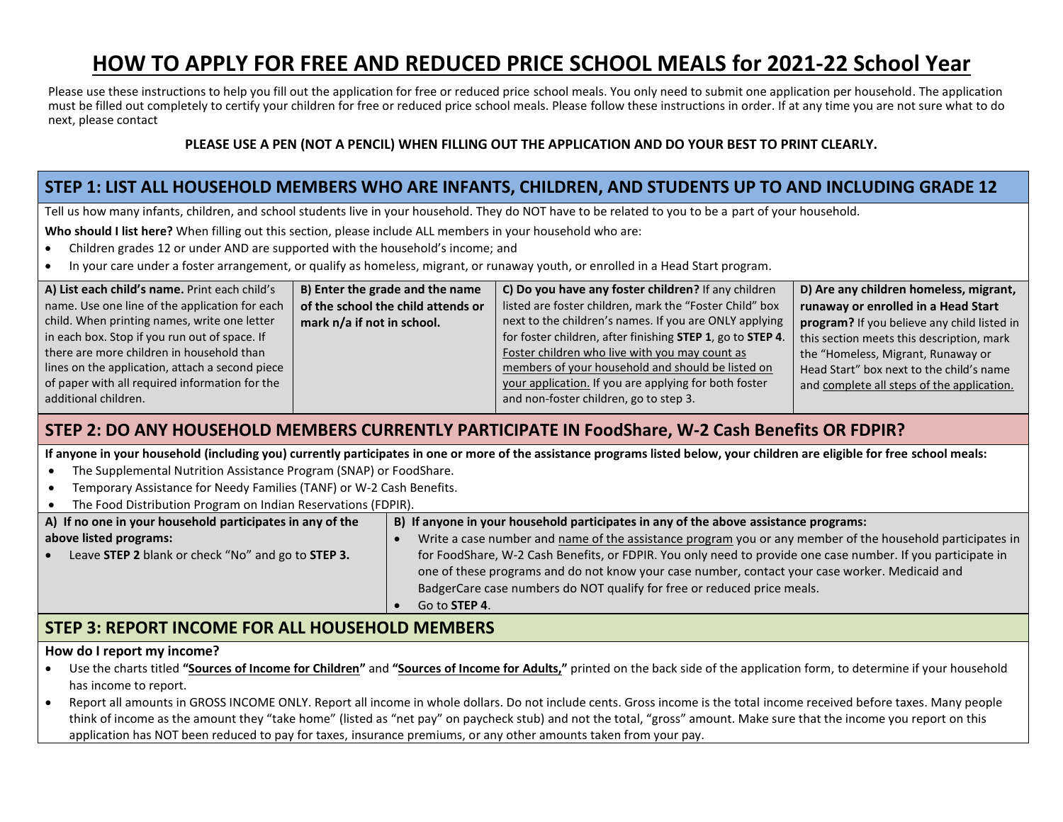# **HOW TO APPLY FOR FREE AND REDUCED PRICE SCHOOL MEALS for 2021-22 School Year**

Please use these instructions to help you fill out the application for free or reduced price school meals. You only need to submit one application per household. The application must be filled out completely to certify your children for free or reduced price school meals. Please follow these instructions in order. If at any time you are not sure what to do next, please contact

#### **PLEASE USE A PEN (NOT A PENCIL) WHEN FILLING OUT THE APPLICATION AND DO YOUR BEST TO PRINT CLEARLY.**

## **STEP 1: LIST ALL HOUSEHOLD MEMBERS WHO ARE INFANTS, CHILDREN, AND STUDENTS UP TO AND INCLUDING GRADE 12**

Tell us how many infants, children, and school students live in your household. They do NOT have to be related to you to be a part of your household.

**Who should I list here?** When filling out this section, please include ALL members in your household who are:

- Children grades 12 or under AND are supported with the household's income; and
- In your care under a foster arrangement, or qualify as homeless, migrant, or runaway youth, or enrolled in a Head Start program.

| A) List each child's name. Print each child's   | B) Enter the grade and the name    | C) Do you have any foster children? If any children        | D) Are any children homeless, migrant,      |
|-------------------------------------------------|------------------------------------|------------------------------------------------------------|---------------------------------------------|
| name. Use one line of the application for each  | of the school the child attends or | listed are foster children, mark the "Foster Child" box    | runaway or enrolled in a Head Start         |
| child. When printing names, write one letter    | mark n/a if not in school.         | next to the children's names. If you are ONLY applying     | program? If you believe any child listed in |
| in each box. Stop if you run out of space. If   |                                    | for foster children, after finishing STEP 1, go to STEP 4. | this section meets this description, mark   |
| there are more children in household than       |                                    | Foster children who live with you may count as             | the "Homeless, Migrant, Runaway or          |
| lines on the application, attach a second piece |                                    | members of your household and should be listed on          | Head Start" box next to the child's name    |
| of paper with all required information for the  |                                    | your application. If you are applying for both foster      | and complete all steps of the application.  |
| additional children.                            |                                    | and non-foster children, go to step 3.                     |                                             |

### **STEP 2: DO ANY HOUSEHOLD MEMBERS CURRENTLY PARTICIPATE IN FoodShare, W-2 Cash Benefits OR FDPIR?**

**If anyone in your household (including you) currently participates in one or more of the assistance programs listed below, your children are eligible for free school meals:**

- The Supplemental Nutrition Assistance Program (SNAP) or FoodShare.
- Temporary Assistance for Needy Families (TANF) or W-2 Cash Benefits.
- The Food Distribution Program on Indian Reservations (FDPIR).

| A) If no one in your household participates in any of the       | B) If anyone in your household participates in any of the above assistance programs:                        |  |  |
|-----------------------------------------------------------------|-------------------------------------------------------------------------------------------------------------|--|--|
| above listed programs:                                          | Write a case number and name of the assistance program you or any member of the household participates in   |  |  |
| Leave STEP 2 blank or check "No" and go to STEP 3.<br>$\bullet$ | for FoodShare, W-2 Cash Benefits, or FDPIR. You only need to provide one case number. If you participate in |  |  |
|                                                                 | one of these programs and do not know your case number, contact your case worker. Medicaid and              |  |  |
|                                                                 | BadgerCare case numbers do NOT qualify for free or reduced price meals.                                     |  |  |
|                                                                 | Go to <b>STEP 4</b> .                                                                                       |  |  |

### **STEP 3: REPORT INCOME FOR ALL HOUSEHOLD MEMBERS**

#### **How do I report my income?**

- Use the charts titled **"Sources of Income for Children"** and **"Sources of Income for Adults,"** printed on the back side of the application form, to determine if your household has income to report.
- Report all amounts in GROSS INCOME ONLY. Report all income in whole dollars. Do not include cents. Gross income is the total income received before taxes. Many people think of income as the amount they "take home" (listed as "net pay" on paycheck stub) and not the total, "gross" amount. Make sure that the income you report on this application has NOT been reduced to pay for taxes, insurance premiums, or any other amounts taken from your pay.